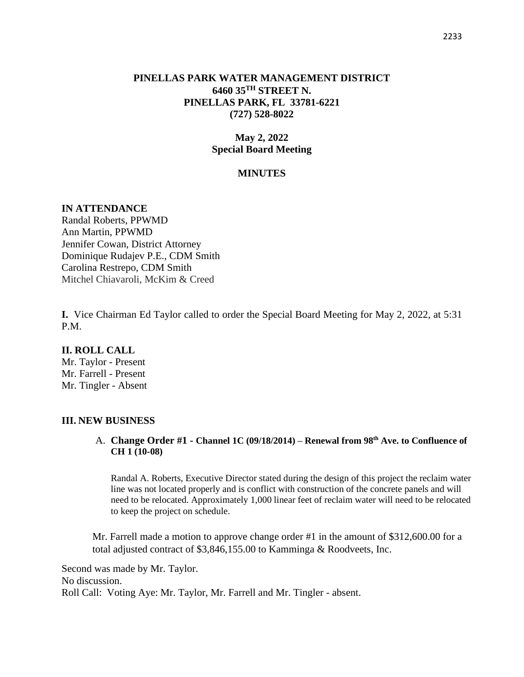### **PINELLAS PARK WATER MANAGEMENT DISTRICT 6460 35TH STREET N. PINELLAS PARK, FL 33781-6221 (727) 528-8022**

# **May 2, 2022 Special Board Meeting**

### **MINUTES**

#### **IN ATTENDANCE**

Randal Roberts, PPWMD Ann Martin, PPWMD Jennifer Cowan, District Attorney Dominique Rudajev P.E., CDM Smith Carolina Restrepo, CDM Smith Mitchel Chiavaroli, McKim & Creed

**I.** Vice Chairman Ed Taylor called to order the Special Board Meeting for May 2, 2022, at 5:31 P.M.

#### **II. ROLL CALL**

Mr. Taylor - Present Mr. Farrell - Present Mr. Tingler - Absent

#### **III. NEW BUSINESS**

## A. **Change Order #1 - Channel 1C (09/18/2014) – Renewal from 98th Ave. to Confluence of CH 1 (10-08)**

Randal A. Roberts, Executive Director stated during the design of this project the reclaim water line was not located properly and is conflict with construction of the concrete panels and will need to be relocated. Approximately 1,000 linear feet of reclaim water will need to be relocated to keep the project on schedule.

Mr. Farrell made a motion to approve change order #1 in the amount of \$312,600.00 for a total adjusted contract of \$3,846,155.00 to Kamminga & Roodveets, Inc.

Second was made by Mr. Taylor. No discussion. Roll Call: Voting Aye: Mr. Taylor, Mr. Farrell and Mr. Tingler - absent.